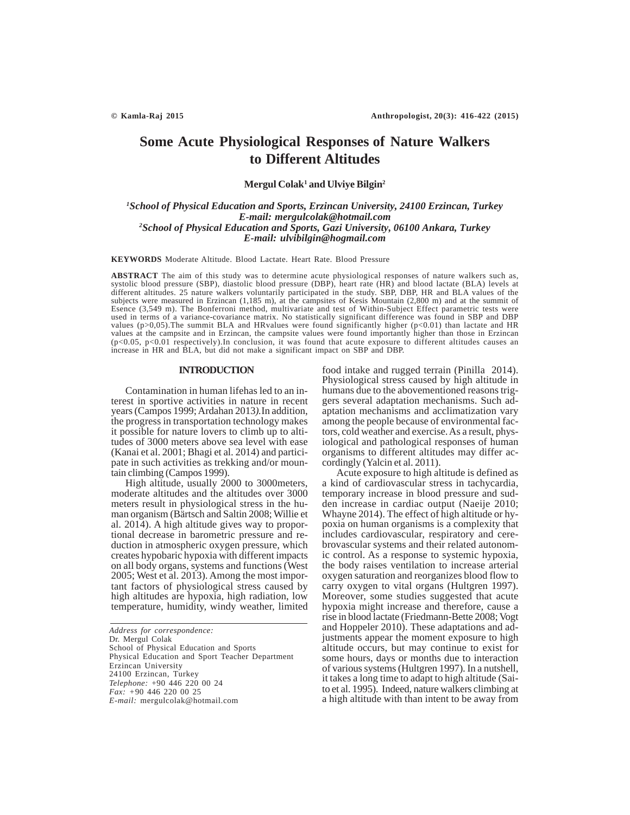# **Some Acute Physiological Responses of Nature Walkers to Different Altitudes**

# **Mergul Colak1 and Ulviye Bilgin2**

# *1 School of Physical Education and Sports, Erzincan University, 24100 Erzincan, Turkey E-mail: mergulcolak@hotmail.com 2 School of Physical Education and Sports, Gazi University, 06100 Ankara, Turkey E-mail: ulvibilgin@hogmail.com*

**KEYWORDS** Moderate Altitude. Blood Lactate. Heart Rate. Blood Pressure

**ABSTRACT** The aim of this study was to determine acute physiological responses of nature walkers such as, systolic blood pressure (SBP), diastolic blood pressure (DBP), heart rate (HR) and blood lactate (BLA) levels at different altitudes. 25 nature walkers voluntarily participated in the study. SBP, DBP, HR and BLA values of the subjects were measured in Erzincan (1,185 m), at the campsites of Kesis Mountain (2,800 m) and at the summit of Esence (3,549 m). The Bonferroni method, multivariate and test of Within-Subject Effect parametric tests were used in terms of a variance-covariance matrix. No statistically significant difference was found in SBP and DBP values (p>0,05).The summit BLA and HRvalues were found significantly higher (p<0.01) than lactate and HR values at the campsite and in Erzincan, the campsite values were found importantly higher than those in Erzincan (p<0.05, p<0.01 respectively).In conclusion, it was found that acute exposure to different altitudes causes an increase in HR and BLA, but did not make a significant impact on SBP and DBP.

## **INTRODUCTION**

Contamination in human lifehas led to an interest in sportive activities in nature in recent years (Campos 1999; Ardahan 2013*).*In addition, the progress in transportation technology makes it possible for nature lovers to climb up to altitudes of 3000 meters above sea level with ease (Kanai et al. 2001; Bhagi et al. 2014) and participate in such activities as trekking and/or mountain climbing (Campos 1999).

High altitude, usually 2000 to 3000meters, moderate altitudes and the altitudes over 3000 meters result in physiological stress in the human organism (Bärtsch and Saltin 2008; Willie et al. 2014). A high altitude gives way to proportional decrease in barometric pressure and reduction in atmospheric oxygen pressure, which creates hypobaric hypoxia with different impacts on all body organs, systems and functions (West 2005; West et al. 2013). Among the most important factors of physiological stress caused by high altitudes are hypoxia, high radiation, low temperature, humidity, windy weather, limited

*Address for correspondence:* Dr. Mergul Colak School of Physical Education and Sports Physical Education and Sport Teacher Department Erzincan University 24100 Erzincan, Turkey *Telephone:* +90 446 220 00 24 *Fax: +*90 446 220 00 25 *E-mail:* mergulcolak@hotmail.com

food intake and rugged terrain (Pinilla 2014). Physiological stress caused by high altitude in humans due to the abovementioned reasons triggers several adaptation mechanisms. Such adaptation mechanisms and acclimatization vary among the people because of environmental factors, cold weather and exercise. As a result, physiological and pathological responses of human organisms to different altitudes may differ accordingly (Yalcin et al. 2011).

Acute exposure to high altitude is defined as a kind of cardiovascular stress in tachycardia, temporary increase in blood pressure and sudden increase in cardiac output (Naeije 2010; Whayne 2014). The effect of high altitude or hypoxia on human organisms is a complexity that includes cardiovascular, respiratory and cerebrovascular systems and their related autonomic control. As a response to systemic hypoxia, the body raises ventilation to increase arterial oxygen saturation and reorganizes blood flow to carry oxygen to vital organs (Hultgren 1997). Moreover, some studies suggested that acute hypoxia might increase and therefore, cause a rise in blood lactate (Friedmann-Bette 2008; Vogt and Hoppeler 2010). These adaptations and adjustments appear the moment exposure to high altitude occurs, but may continue to exist for some hours, days or months due to interaction of various systems (Hultgren 1997). In a nutshell, it takes a long time to adapt to high altitude (Saito et al. 1995). Indeed, nature walkers climbing at a high altitude with than intent to be away from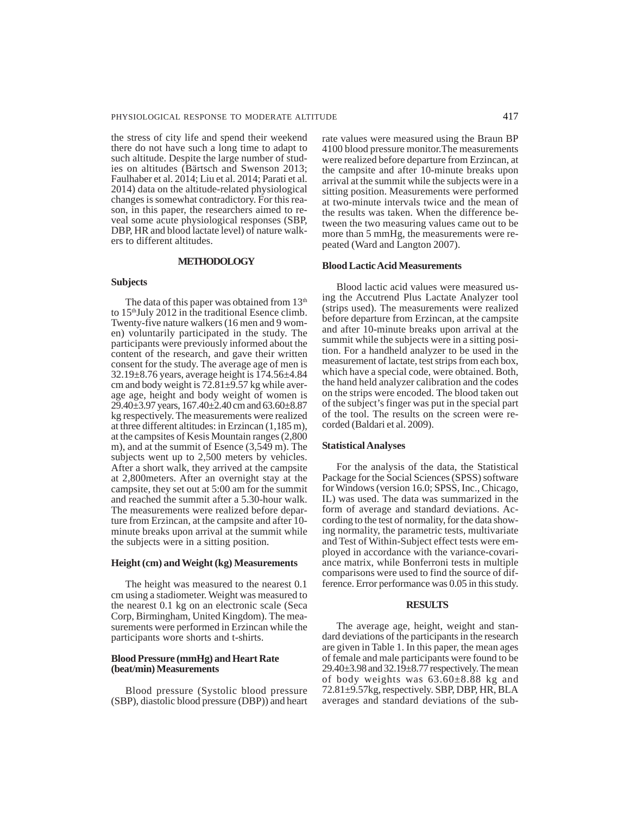the stress of city life and spend their weekend there do not have such a long time to adapt to such altitude. Despite the large number of studies on altitudes (Bärtsch and Swenson 2013; Faulhaber et al. 2014; Liu et al. 2014; Parati et al. 2014) data on the altitude-related physiological changes is somewhat contradictory. For this reason, in this paper, the researchers aimed to reveal some acute physiological responses (SBP, DBP, HR and blood lactate level) of nature walkers to different altitudes.

# **METHODOLOGY**

# **Subjects**

The data of this paper was obtained from  $13<sup>th</sup>$ to  $15<sup>th</sup>$  July 2012 in the traditional Esence climb. Twenty-five nature walkers (16 men and 9 women) voluntarily participated in the study. The participants were previously informed about the content of the research, and gave their written consent for the study. The average age of men is 32.19±8.76 years, average height is 174.56±4.84 cm and body weight is 72.81±9.57 kg while average age, height and body weight of women is 29.40±3.97 years, 167.40±2.40 cm and 63.60±8.87 kg respectively. The measurements were realized at three different altitudes: in Erzincan (1,185 m), at the campsites of Kesis Mountain ranges (2,800 m), and at the summit of Esence (3,549 m). The subjects went up to 2,500 meters by vehicles. After a short walk, they arrived at the campsite at 2,800meters. After an overnight stay at the campsite, they set out at 5:00 am for the summit and reached the summit after a 5.30-hour walk. The measurements were realized before departure from Erzincan, at the campsite and after 10 minute breaks upon arrival at the summit while the subjects were in a sitting position.

#### **Height (cm) and Weight (kg) Measurements**

The height was measured to the nearest 0.1 cm using a stadiometer. Weight was measured to the nearest 0.1 kg on an electronic scale (Seca Corp, Birmingham, United Kingdom). The measurements were performed in Erzincan while the participants wore shorts and t-shirts.

# **Blood Pressure (mmHg) and Heart Rate (beat/min) Measurements**

Blood pressure (Systolic blood pressure (SBP), diastolic blood pressure (DBP)) and heart rate values were measured using the Braun BP 4100 blood pressure monitor.The measurements were realized before departure from Erzincan, at the campsite and after 10-minute breaks upon arrival at the summit while the subjects were in a sitting position. Measurements were performed at two-minute intervals twice and the mean of the results was taken. When the difference between the two measuring values came out to be more than 5 mmHg, the measurements were repeated (Ward and Langton 2007).

# **Blood Lactic Acid Measurements**

Blood lactic acid values were measured using the Accutrend Plus Lactate Analyzer tool (strips used). The measurements were realized before departure from Erzincan, at the campsite and after 10-minute breaks upon arrival at the summit while the subjects were in a sitting position. For a handheld analyzer to be used in the measurement of lactate, test strips from each box, which have a special code, were obtained. Both, the hand held analyzer calibration and the codes on the strips were encoded. The blood taken out of the subject's finger was put in the special part of the tool. The results on the screen were recorded (Baldari et al. 2009).

# **Statistical Analyses**

For the analysis of the data, the Statistical Package for the Social Sciences (SPSS) software for Windows (version 16.0; SPSS, Inc., Chicago, IL) was used. The data was summarized in the form of average and standard deviations. According to the test of normality, for the data showing normality, the parametric tests, multivariate and Test of Within-Subject effect tests were employed in accordance with the variance-covariance matrix, while Bonferroni tests in multiple comparisons were used to find the source of difference. Error performance was 0.05 in this study.

#### **RESULTS**

The average age, height, weight and standard deviations of the participants in the research are given in Table 1. In this paper, the mean ages of female and male participants were found to be 29.40±3.98 and 32.19±8.77 respectively. The mean of body weights was  $63.60\pm8.88$  kg and 72.81±9.57kg, respectively. SBP, DBP, HR, BLA averages and standard deviations of the sub-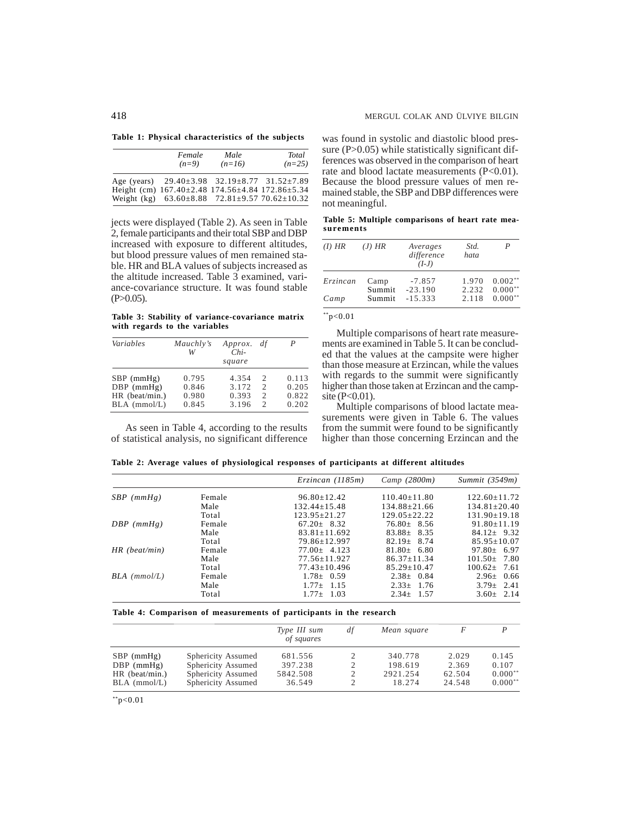**Table 1: Physical characteristics of the subjects**

| Female<br>$(n=9)$                                                 | Male<br>$(n=16)$ | Total<br>$(n=25)$ |
|-------------------------------------------------------------------|------------------|-------------------|
| Age (years) $29.40 \pm 3.98$ $32.19 \pm 8.77$ $31.52 \pm 7.89$    |                  |                   |
| Height (cm) $167.40 \pm 2.48$ 174.56 $\pm 4.84$ 172.86 $\pm 5.34$ |                  |                   |
| Weight (kg) $63.60 \pm 8.88$ $72.81 \pm 9.57$ $70.62 \pm 10.32$   |                  |                   |

jects were displayed (Table 2). As seen in Table 2, female participants and their total SBP and DBP increased with exposure to different altitudes, but blood pressure values of men remained stable. HR and BLA values of subjects increased as the altitude increased. Table 3 examined, variance-covariance structure. It was found stable  $(P>0.05)$ .

**Table 3: Stability of variance-covariance matrix with regards to the variables**

| Variables        | Mauchly's<br>W | <i>Approx.</i><br>$Chi-$<br>square | df                          |       |
|------------------|----------------|------------------------------------|-----------------------------|-------|
| $SBP$ (mmHg)     | 0.795          | 4.354                              | $\mathcal{D}$               | 0.113 |
| $DBP$ (mmHg)     | 0.846          | 3.172                              | $\mathcal{D}_{\mathcal{L}}$ | 0.205 |
| $HR$ (beat/min.) | 0.980          | 0.393                              | $\mathfrak{D}$              | 0.822 |
| $BLA$ (mmol/L)   | 0.845          | 3.196                              | $\mathcal{D}$               | 0.202 |

As seen in Table 4, according to the results of statistical analysis, no significant difference was found in systolic and diastolic blood pressure  $(P>0.05)$  while statistically significant differences was observed in the comparison of heart rate and blood lactate measurements (P<0.01). Because the blood pressure values of men remained stable, the SBP and DBP differences were not meaningful.

**Table 5: Multiple comparisons of heart rate measurements**

| $(I)$ HR | $(J)$ HR         | Averages<br>difference<br>$(I-J)$ | Std.<br>hata   | P                      |
|----------|------------------|-----------------------------------|----------------|------------------------|
| Erzincan | Camp             | $-7.857$                          | 1.970          | $0.002**$              |
| Camp     | Summit<br>Summit | $-23.190$<br>$-15.333$            | 2.232<br>2.118 | $0.000**$<br>$0.000**$ |

 $*$ \*p<0.01

Multiple comparisons of heart rate measurements are examined in Table 5. It can be concluded that the values at the campsite were higher than those measure at Erzincan, while the values with regards to the summit were significantly higher than those taken at Erzincan and the campsite (P<0.01).

Multiple comparisons of blood lactate measurements were given in Table 6. The values from the summit were found to be significantly higher than those concerning Erzincan and the

**Table 2: Average values of physiological responses of participants at different altitudes**

|                 |        | $E$ rzincan (1185m) | Camp (2800m)     | Summit $(3549m)$   |
|-----------------|--------|---------------------|------------------|--------------------|
| $SBP$ (mmHg)    | Female | $96.80 + 12.42$     | $110.40 + 11.80$ | $122.60 + 11.72$   |
|                 | Male   | $132.44+15.48$      | $134.88 + 21.66$ | $134.81 + 20.40$   |
|                 | Total  | $123.95 + 21.27$    | $129.05+22.22$   | $131.90 \pm 19.18$ |
| $DBP$ (mmHg)    | Female | $67.20 + 8.32$      | $76.80 + 8.56$   | $91.80 + 11.19$    |
|                 | Male   | $83.81 + 11.692$    | $83.88 + 8.35$   | $84.12 + 9.32$     |
|                 | Total  | 79.86+12.997        | $82.19 + 8.74$   | $85.95 + 10.07$    |
| $HR$ (beat/min) | Female | $77.00 + 4.123$     | $81.80 + 6.80$   | $97.80 + 6.97$     |
|                 | Male   | $77.56 + 11.927$    | $86.37 + 11.34$  | $101.50 + 7.80$    |
|                 | Total  | $77.43 + 10.496$    | $85.29 + 10.47$  | $100.62 + 7.61$    |
| $BLA$ (mmol/L)  | Female | $1.78 \pm 0.59$     | $2.38 \pm 0.84$  | $2.96 + 0.66$      |
|                 | Male   | $1.77 + 1.15$       | $2.33 + 1.76$    | $3.79 + 2.41$      |
|                 | Total  | $1.77 + 1.03$       | $2.34 + 1.57$    | $3.60 \pm 2.14$    |

#### **Table 4: Comparison of measurements of participants in the research**

|                  |                    | Type III sum<br>of squares | df | Mean square |        | P         |
|------------------|--------------------|----------------------------|----|-------------|--------|-----------|
| $SBP$ (mmHg)     | Sphericity Assumed | 681.556                    |    | 340.778     | 2.029  | 0.145     |
| $DBP$ (mmHg)     | Sphericity Assumed | 397.238                    | 2  | 198.619     | 2.369  | 0.107     |
| $HR$ (beat/min.) | Sphericity Assumed | 5842.508                   | 2  | 2921.254    | 62.504 | $0.000**$ |
| $BLA$ (mmol/L)   | Sphericity Assumed | 36.549                     |    | 18.274      | 24.548 | $0.000**$ |

 $*$  $p<0.01$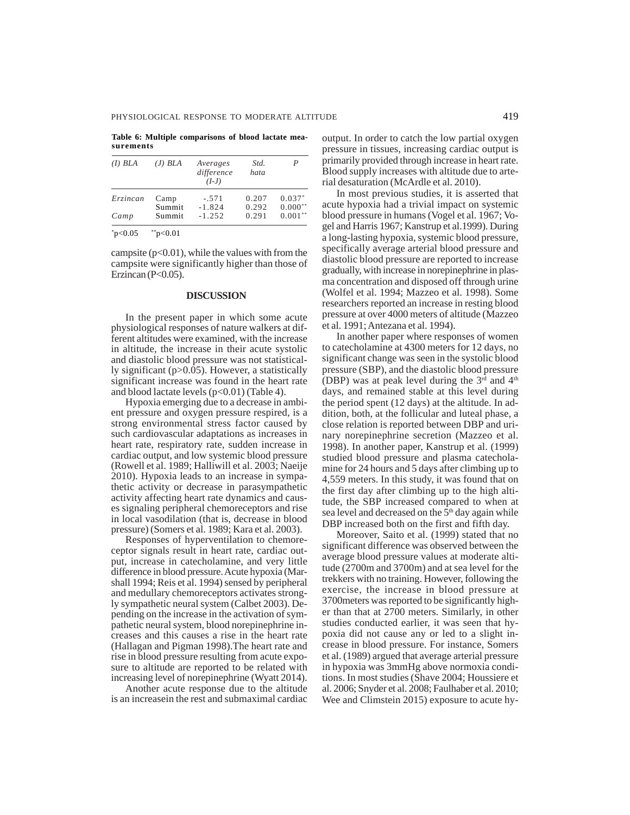**Table 6: Multiple comparisons of blood lactate measurements**

| $(I)$ BLA | $(J)$ BLA | Averages<br>difference<br>$(I-J)$ | Std.<br>hata | P           |
|-----------|-----------|-----------------------------------|--------------|-------------|
| Erzincan  | Camp      | $-.571$                           | 0.207        | $0.037*$    |
|           | Summit    | $-1.824$                          | 0.292        | $0.000**$   |
| Camp      | Summit    | $-1.252$                          | 0.291        | 水水<br>0.001 |
| p<0.05    | b<0.01    |                                   |              |             |

campsite  $(p<0.01)$ , while the values with from the campsite were significantly higher than those of Erzincan ( $P<0.05$ ).

## **DISCUSSION**

In the present paper in which some acute physiological responses of nature walkers at different altitudes were examined, with the increase in altitude, the increase in their acute systolic and diastolic blood pressure was not statistically significant (p>0.05). However, a statistically significant increase was found in the heart rate and blood lactate levels  $(p<0.01)$  (Table 4).

Hypoxia emerging due to a decrease in ambient pressure and oxygen pressure respired, is a strong environmental stress factor caused by such cardiovascular adaptations as increases in heart rate, respiratory rate, sudden increase in cardiac output, and low systemic blood pressure (Rowell et al. 1989; Halliwill et al. 2003; Naeije 2010). Hypoxia leads to an increase in sympathetic activity or decrease in parasympathetic activity affecting heart rate dynamics and causes signaling peripheral chemoreceptors and rise in local vasodilation (that is, decrease in blood pressure) (Somers et al. 1989; Kara et al. 2003).

Responses of hyperventilation to chemoreceptor signals result in heart rate, cardiac output, increase in catecholamine, and very little difference in blood pressure. Acute hypoxia (Marshall 1994; Reis et al. 1994) sensed by peripheral and medullary chemoreceptors activates strongly sympathetic neural system (Calbet 2003). Depending on the increase in the activation of sympathetic neural system, blood norepinephrine increases and this causes a rise in the heart rate (Hallagan and Pigman 1998).The heart rate and rise in blood pressure resulting from acute exposure to altitude are reported to be related with increasing level of norepinephrine (Wyatt 2014).

Another acute response due to the altitude is an increasein the rest and submaximal cardiac output. In order to catch the low partial oxygen pressure in tissues, increasing cardiac output is primarily provided through increase in heart rate. Blood supply increases with altitude due to arterial desaturation (McArdle et al. 2010).

In most previous studies, it is asserted that acute hypoxia had a trivial impact on systemic blood pressure in humans (Vogel et al. 1967; Vogel and Harris 1967; Kanstrup et al.1999). During a long-lasting hypoxia, systemic blood pressure, specifically average arterial blood pressure and diastolic blood pressure are reported to increase gradually, with increase in norepinephrine in plasma concentration and disposed off through urine (Wolfel et al. 1994; Mazzeo et al. 1998). Some researchers reported an increase in resting blood pressure at over 4000 meters of altitude (Mazzeo et al. 1991; Antezana et al. 1994).

In another paper where responses of women to catecholamine at 4300 meters for 12 days, no significant change was seen in the systolic blood pressure (SBP), and the diastolic blood pressure (DBP) was at peak level during the  $3<sup>rd</sup>$  and  $4<sup>th</sup>$ days, and remained stable at this level during the period spent (12 days) at the altitude. In addition, both, at the follicular and luteal phase, a close relation is reported between DBP and urinary norepinephrine secretion (Mazzeo et al. 1998). In another paper, Kanstrup et al. (1999) studied blood pressure and plasma catecholamine for 24 hours and 5 days after climbing up to 4,559 meters. In this study, it was found that on the first day after climbing up to the high altitude, the SBP increased compared to when at sea level and decreased on the 5<sup>th</sup> day again while DBP increased both on the first and fifth day.

Moreover, Saito et al. (1999) stated that no significant difference was observed between the average blood pressure values at moderate altitude (2700m and 3700m) and at sea level for the trekkers with no training. However, following the exercise, the increase in blood pressure at 3700meters was reported to be significantly higher than that at 2700 meters. Similarly, in other studies conducted earlier, it was seen that hypoxia did not cause any or led to a slight increase in blood pressure. For instance, Somers et al. (1989) argued that average arterial pressure in hypoxia was 3mmHg above normoxia conditions. In most studies (Shave 2004; Houssiere et al. 2006; Snyder et al. 2008; Faulhaber et al. 2010; Wee and Climstein 2015) exposure to acute hy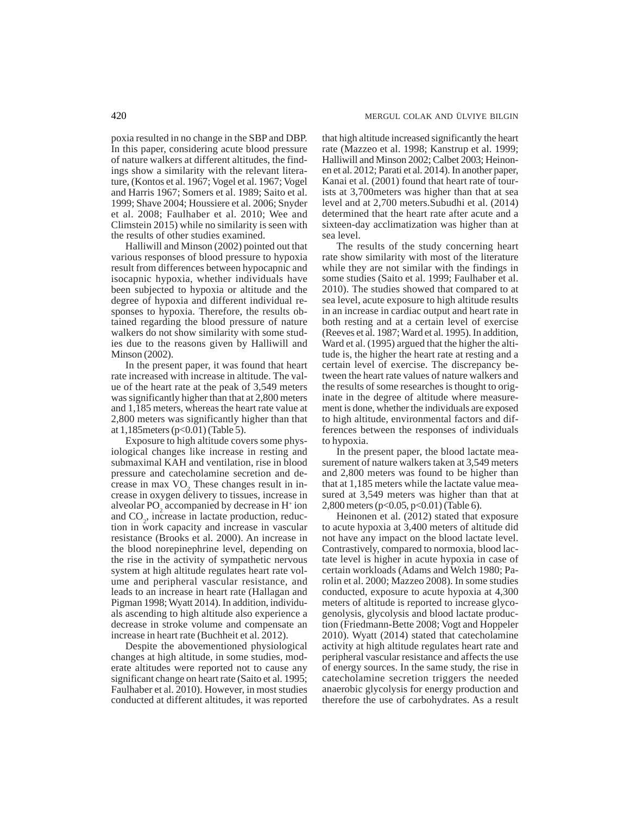poxia resulted in no change in the SBP and DBP. In this paper, considering acute blood pressure of nature walkers at different altitudes, the findings show a similarity with the relevant literature, (Kontos et al. 1967; Vogel et al. 1967; Vogel and Harris 1967; Somers et al. 1989; Saito et al. 1999; Shave 2004; Houssiere et al. 2006; Snyder et al. 2008; Faulhaber et al. 2010; Wee and Climstein 2015) while no similarity is seen with the results of other studies examined.

Halliwill and Minson (2002) pointed out that various responses of blood pressure to hypoxia result from differences between hypocapnic and isocapnic hypoxia, whether individuals have been subjected to hypoxia or altitude and the degree of hypoxia and different individual responses to hypoxia. Therefore, the results obtained regarding the blood pressure of nature walkers do not show similarity with some studies due to the reasons given by Halliwill and Minson (2002).

In the present paper, it was found that heart rate increased with increase in altitude. The value of the heart rate at the peak of 3,549 meters was significantly higher than that at 2,800 meters and 1,185 meters, whereas the heart rate value at 2,800 meters was significantly higher than that at 1,185meters (p<0.01) (Table 5).

Exposure to high altitude covers some physiological changes like increase in resting and submaximal KAH and ventilation, rise in blood pressure and catecholamine secretion and decrease in max VO<sub>2</sub>. These changes result in increase in oxygen delivery to tissues, increase in alveolar PO<sub>2</sub> accompanied by decrease in  $H^+$  ion and CO<sub>2</sub>, increase in lactate production, reduction in work capacity and increase in vascular resistance (Brooks et al. 2000). An increase in the blood norepinephrine level, depending on the rise in the activity of sympathetic nervous system at high altitude regulates heart rate volume and peripheral vascular resistance, and leads to an increase in heart rate (Hallagan and Pigman 1998; Wyatt 2014). In addition, individuals ascending to high altitude also experience a decrease in stroke volume and compensate an increase in heart rate (Buchheit et al. 2012).

Despite the abovementioned physiological changes at high altitude, in some studies, moderate altitudes were reported not to cause any significant change on heart rate (Saito et al. 1995; Faulhaber et al. 2010). However, in most studies conducted at different altitudes, it was reported

that high altitude increased significantly the heart rate (Mazzeo et al. 1998; Kanstrup et al. 1999; Halliwill and Minson 2002; Calbet 2003; Heinonen et al. 2012; Parati et al. 2014). In another paper, Kanai et al. (2001) found that heart rate of tourists at 3,700meters was higher than that at sea level and at 2,700 meters.Subudhi et al. (2014) determined that the heart rate after acute and a sixteen-day acclimatization was higher than at sea level.

The results of the study concerning heart rate show similarity with most of the literature while they are not similar with the findings in some studies (Saito et al. 1999; Faulhaber et al. 2010). The studies showed that compared to at sea level, acute exposure to high altitude results in an increase in cardiac output and heart rate in both resting and at a certain level of exercise (Reeves et al. 1987; Ward et al. 1995). In addition, Ward et al. (1995) argued that the higher the altitude is, the higher the heart rate at resting and a certain level of exercise. The discrepancy between the heart rate values of nature walkers and the results of some researches is thought to originate in the degree of altitude where measurement is done, whether the individuals are exposed to high altitude, environmental factors and differences between the responses of individuals to hypoxia.

In the present paper, the blood lactate measurement of nature walkers taken at 3,549 meters and 2,800 meters was found to be higher than that at 1,185 meters while the lactate value measured at 3,549 meters was higher than that at 2,800 meters (p<0.05, p<0.01) (Table 6).

Heinonen et al. (2012) stated that exposure to acute hypoxia at 3,400 meters of altitude did not have any impact on the blood lactate level. Contrastively, compared to normoxia, blood lactate level is higher in acute hypoxia in case of certain workloads (Adams and Welch 1980; Parolin et al. 2000; Mazzeo 2008). In some studies conducted, exposure to acute hypoxia at 4,300 meters of altitude is reported to increase glycogenolysis, glycolysis and blood lactate production (Friedmann-Bette 2008; Vogt and Hoppeler 2010). Wyatt (2014) stated that catecholamine activity at high altitude regulates heart rate and peripheral vascular resistance and affects the use of energy sources. In the same study, the rise in catecholamine secretion triggers the needed anaerobic glycolysis for energy production and therefore the use of carbohydrates. As a result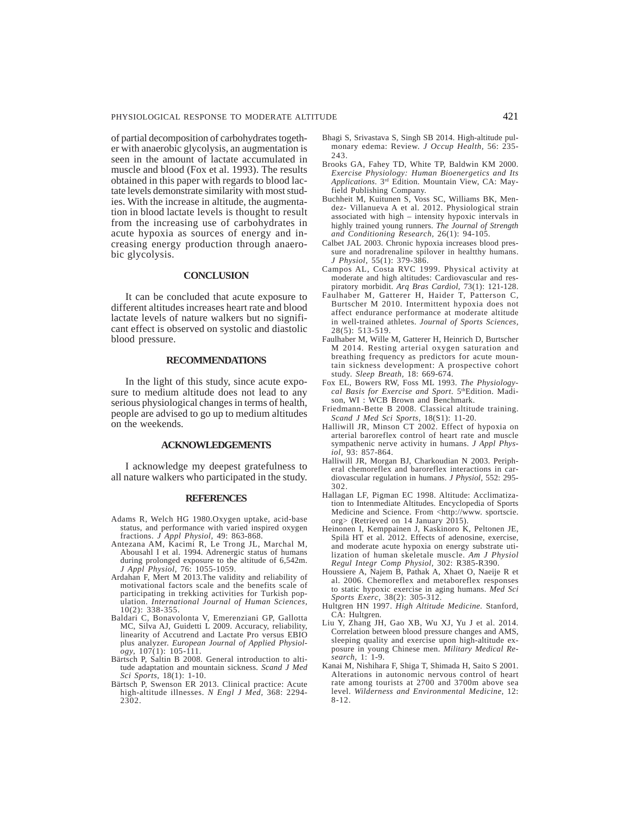of partial decomposition of carbohydrates together with anaerobic glycolysis, an augmentation is seen in the amount of lactate accumulated in muscle and blood (Fox et al. 1993). The results obtained in this paper with regards to blood lactate levels demonstrate similarity with most studies. With the increase in altitude, the augmentation in blood lactate levels is thought to result from the increasing use of carbohydrates in acute hypoxia as sources of energy and increasing energy production through anaerobic glycolysis.

# **CONCLUSION**

It can be concluded that acute exposure to different altitudes increases heart rate and blood lactate levels of nature walkers but no significant effect is observed on systolic and diastolic blood pressure.

## **RECOMMENDATIONS**

In the light of this study, since acute exposure to medium altitude does not lead to any serious physiological changes in terms of health, people are advised to go up to medium altitudes on the weekends.

# **ACKNOWLEDGEMENTS**

I acknowledge my deepest gratefulness to all nature walkers who participated in the study.

# **REFERENCES**

- Adams R, Welch HG 1980.Oxygen uptake, acid-base status, and performance with varied inspired oxygen fractions. *J Appl Physiol,* 49: 863-868*.*
- Antezana AM, Kacimi R, Le Trong JL, Marchal M, Abousahl I et al. 1994. Adrenergic status of humans during prolonged exposure to the altitude of 6,542m. *J Appl Physiol,* 76: 1055-1059.
- Ardahan F, Mert M 2013.The validity and reliability of motivational factors scale and the benefits scale of participating in trekking activities for Turkish pop-ulation. *International Journal of Human Sciences,* 10(2): 338-355.
- Baldari C, Bonavolonta V, Emerenziani GP, Gallotta MC, Silva AJ, Guidetti L 2009. Accuracy, reliability, linearity of Accutrend and Lactate Pro versus EBIO plus analyzer. *European Journal of Applied Physiology,* 107(1): 105-111.
- Bärtsch P, Saltin B 2008. General introduction to altitude adaptation and mountain sickness. *Scand J Med Sci Sports,* 18(1): 1-10.
- Bärtsch P, Swenson ER 2013. Clinical practice: Acute high-altitude illnesses. *N Engl J Med,* 368: 2294- 2302.
- Bhagi S, Srivastava S, Singh SB 2014. High-altitude pulmonary edema: Review. *J Occup Health,* 56: 235- 243.
- Brooks GA, Fahey TD, White TP, Baldwin KM 2000. *Exercise Physiology: Human Bioenergetics and Its Applications*. 3rd Edition. Mountain View, CA: Mayfield Publishing Company.
- Buchheit M, Kuitunen S, Voss SC, Williams BK, Mendez- Villanueva A et al. 2012. Physiological strain associated with high – intensity hypoxic intervals in highly trained young runners. *The Journal of Strength and Conditioning Research,* 26(1): 94-105.
- Calbet JAL 2003. Chronic hypoxia increases blood pressure and noradrenaline spilover in healtthy humans. *J Physiol,* 55(1): 379-386.
- Campos AL, Costa RVC 1999. Physical activity at moderate and high altitudes: Cardiovascular and respiratory morbidit. *Arq Bras Cardiol,* 73(1): 121-128.
- Faulhaber M, Gatterer H, Haider T, Patterson C, Burtscher M 2010. Intermittent hypoxia does not affect endurance performance at moderate altitude in well-trained athletes. *Journal of Sports Sciences,* 28(5): 513-519.
- Faulhaber M, Wille M, Gatterer H, Heinrich D, Burtscher M 2014. Resting arterial oxygen saturation and breathing frequency as predictors for acute mountain sickness development: A prospective cohort study. *Sleep Breath,* 18: 669-674.
- Fox EL, Bowers RW, Foss ML 1993. *The Physiologycal Basis for Exercise and Sport*. 5thEdition. Madison, WI : WCB Brown and Benchmark.
- Friedmann-Bette B 2008. Classical altitude training. *Scand J Med Sci Sports,* 18(S1): 11-20.
- Halliwill JR, Minson CT 2002. Effect of hypoxia on arterial baroreflex control of heart rate and muscle sympathenic nerve activity in humans. *J Appl Physiol,* 93: 857-864.
- Halliwill JR, Morgan BJ, Charkoudian N 2003. Peripheral chemoreflex and baroreflex interactions in cardiovascular regulation in humans. *J Physiol,* 552: 295- 302.
- Hallagan LF, Pigman EC 1998. Altitude: Acclimatization to Intenmediate Altitudes. Encyclopedia of Sports Medicine and Science. From <http://www. sportscie. org> (Retrieved on 14 January 2015).
- Heinonen I, Kemppainen J, Kaskinoro K, Peltonen JE, Spilä HT et al. 2012. Effects of adenosine, exercise, and moderate acute hypoxia on energy substrate utilization of human skeletale muscle. *Am J Physiol Regul Integr Comp Physiol,* 302: R385-R390.
- Houssiere A, Najem B, Pathak A, Xhaet O, Naeije R et al. 2006. Chemoreflex and metaboreflex responses to static hypoxic exercise in aging humans. *Med Sci Sports Exerc,* 38(2): 305-312.
- Hultgren HN 1997. *High Altitude Medicine.* Stanford, CA: Hultgren.
- Liu Y, Zhang JH, Gao XB, Wu XJ, Yu J et al. 2014. Correlation between blood pressure changes and AMS, sleeping quality and exercise upon high-altitude exposure in young Chinese men. *Military Medical Research,* 1: 1-9.
- Kanai M, Nishihara F, Shiga T, Shimada H, Saito S 2001. Alterations in autonomic nervous control of heart rate among tourists at 2700 and 3700m above sea level. *Wilderness and Environmental Medicine,* 12: 8-12.